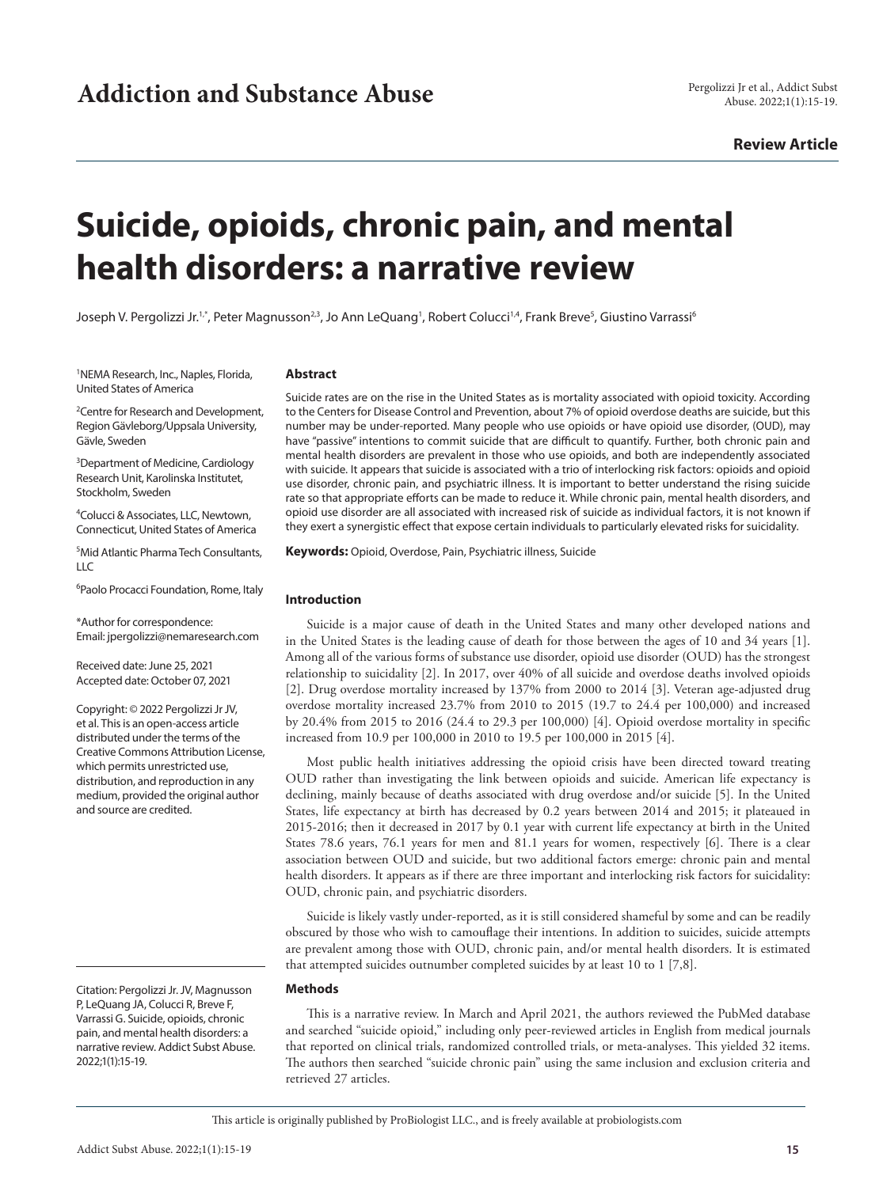# **Review Article**

# **Suicide, opioids, chronic pain, and mental health disorders: a narrative review**

Joseph V. Pergolizzi Jr.<sup>1,</sup>\*, Peter Magnusson<sup>2,3</sup>, Jo Ann LeQuang<sup>1</sup>, Robert Colucci<sup>1,4</sup>, Frank Breve<sup>5</sup>, Giustino Varrassi<sup>6</sup>

<sup>1</sup>NEMA Research, Inc., Naples, Florida, United States of America

<sup>2</sup> Centre for Research and Development, Region Gävleborg/Uppsala University, Gävle, Sweden

<sup>3</sup>Department of Medicine, Cardiology Research Unit, Karolinska Institutet, Stockholm, Sweden

4 Colucci & Associates, LLC, Newtown, Connecticut, United States of America

5 Mid Atlantic Pharma Tech Consultants,  $\overline{L}$ 

<sup>6</sup>Paolo Procacci Foundation, Rome, Italy

\*Author for correspondence: Email: jpergolizzi@nemaresearch.com

Received date: June 25, 2021 Accepted date: October 07, 2021

Copyright: © 2022 Pergolizzi Jr JV, et al. This is an open-access article distributed under the terms of the Creative Commons Attribution License, which permits unrestricted use, distribution, and reproduction in any medium, provided the original author and source are credited.

Citation: Pergolizzi Jr. JV, Magnusson P, LeQuang JA, Colucci R, Breve F, Varrassi G. Suicide, opioids, chronic pain, and mental health disorders: a narrative review. Addict Subst Abuse. 2022;1(1):15-19.

#### **Abstract**

Suicide rates are on the rise in the United States as is mortality associated with opioid toxicity. According to the Centers for Disease Control and Prevention, about 7% of opioid overdose deaths are suicide, but this number may be under-reported. Many people who use opioids or have opioid use disorder, (OUD), may have "passive" intentions to commit suicide that are difficult to quantify. Further, both chronic pain and mental health disorders are prevalent in those who use opioids, and both are independently associated with suicide. It appears that suicide is associated with a trio of interlocking risk factors: opioids and opioid use disorder, chronic pain, and psychiatric illness. It is important to better understand the rising suicide rate so that appropriate efforts can be made to reduce it. While chronic pain, mental health disorders, and opioid use disorder are all associated with increased risk of suicide as individual factors, it is not known if they exert a synergistic effect that expose certain individuals to particularly elevated risks for suicidality.

**Keywords:** Opioid, Overdose, Pain, Psychiatric illness, Suicide

#### **Introduction**

Suicide is a major cause of death in the United States and many other developed nations and in the United States is the leading cause of death for those between the ages of 10 and 34 years [1]. Among all of the various forms of substance use disorder, opioid use disorder (OUD) has the strongest relationship to suicidality [2]. In 2017, over 40% of all suicide and overdose deaths involved opioids [2]. Drug overdose mortality increased by 137% from 2000 to 2014 [3]. Veteran age-adjusted drug overdose mortality increased 23.7% from 2010 to 2015 (19.7 to 24.4 per 100,000) and increased by 20.4% from 2015 to 2016 (24.4 to 29.3 per 100,000) [4]. Opioid overdose mortality in specific increased from 10.9 per 100,000 in 2010 to 19.5 per 100,000 in 2015 [4].

Most public health initiatives addressing the opioid crisis have been directed toward treating OUD rather than investigating the link between opioids and suicide. American life expectancy is declining, mainly because of deaths associated with drug overdose and/or suicide [5]. In the United States, life expectancy at birth has decreased by 0.2 years between 2014 and 2015; it plateaued in 2015-2016; then it decreased in 2017 by 0.1 year with current life expectancy at birth in the United States 78.6 years, 76.1 years for men and 81.1 years for women, respectively [6]. There is a clear association between OUD and suicide, but two additional factors emerge: chronic pain and mental health disorders. It appears as if there are three important and interlocking risk factors for suicidality: OUD, chronic pain, and psychiatric disorders.

Suicide is likely vastly under-reported, as it is still considered shameful by some and can be readily obscured by those who wish to camouflage their intentions. In addition to suicides, suicide attempts are prevalent among those with OUD, chronic pain, and/or mental health disorders. It is estimated that attempted suicides outnumber completed suicides by at least 10 to 1 [7,8].

#### **Methods**

This is a narrative review. In March and April 2021, the authors reviewed the PubMed database and searched "suicide opioid," including only peer-reviewed articles in English from medical journals that reported on clinical trials, randomized controlled trials, or meta-analyses. This yielded 32 items. The authors then searched "suicide chronic pain" using the same inclusion and exclusion criteria and retrieved 27 articles.

This article is originally published by ProBiologist LLC., and is freely available at probiologists.com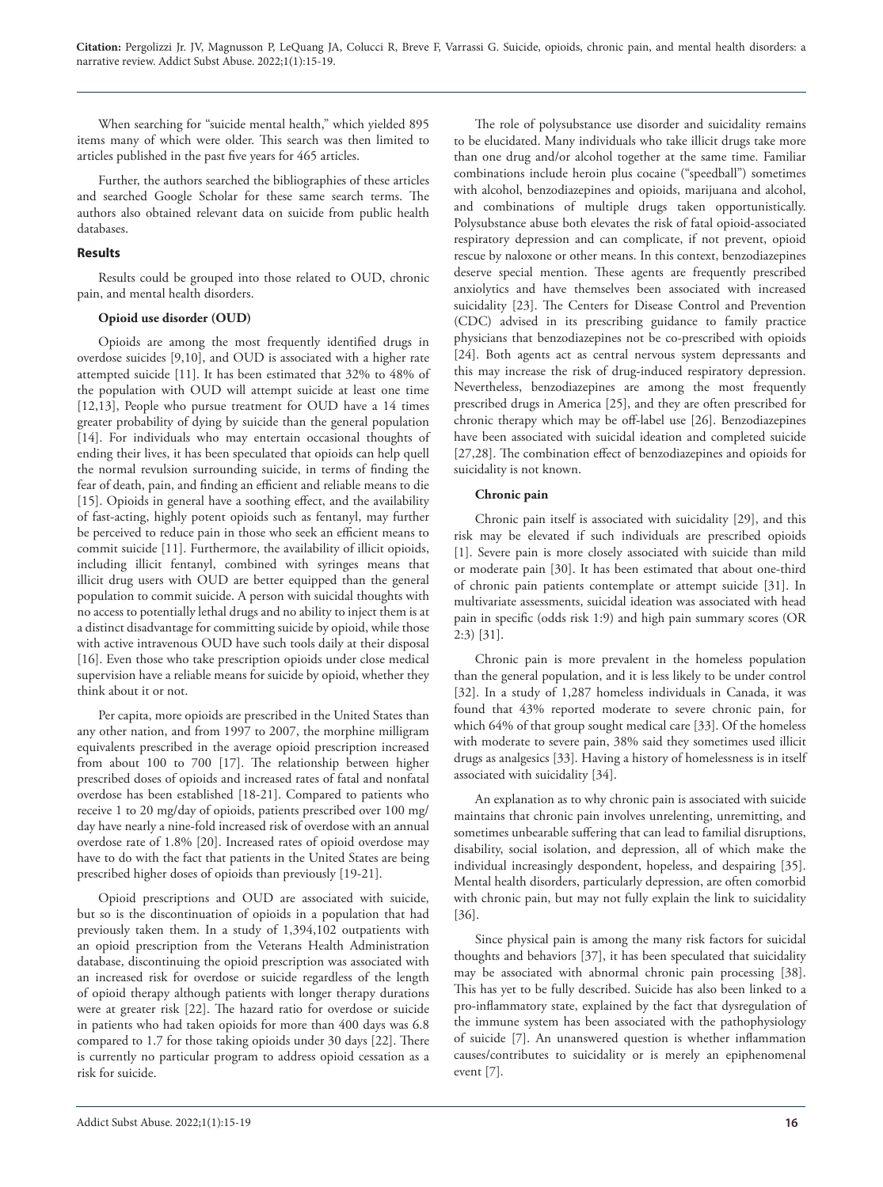When searching for "suicide mental health," which yielded 895 items many of which were older. This search was then limited to articles published in the past five years for 465 articles.

Further, the authors searched the bibliographies of these articles and searched Google Scholar for these same search terms. The authors also obtained relevant data on suicide from public health databases.

# **Results**

Results could be grouped into those related to OUD, chronic pain, and mental health disorders.

## **Opioid use disorder (OUD)**

Opioids are among the most frequently identified drugs in overdose suicides [9,10], and OUD is associated with a higher rate attempted suicide [11]. It has been estimated that 32% to 48% of the population with OUD will attempt suicide at least one time [12,13], People who pursue treatment for OUD have a 14 times greater probability of dying by suicide than the general population [14]. For individuals who may entertain occasional thoughts of ending their lives, it has been speculated that opioids can help quell the normal revulsion surrounding suicide, in terms of finding the fear of death, pain, and finding an efficient and reliable means to die [15]. Opioids in general have a soothing effect, and the availability of fast-acting, highly potent opioids such as fentanyl, may further be perceived to reduce pain in those who seek an efficient means to commit suicide [11]. Furthermore, the availability of illicit opioids, including illicit fentanyl, combined with syringes means that illicit drug users with OUD are better equipped than the general population to commit suicide. A person with suicidal thoughts with no access to potentially lethal drugs and no ability to inject them is at a distinct disadvantage for committing suicide by opioid, while those with active intravenous OUD have such tools daily at their disposal [16]. Even those who take prescription opioids under close medical supervision have a reliable means for suicide by opioid, whether they think about it or not.

Per capita, more opioids are prescribed in the United States than any other nation, and from 1997 to 2007, the morphine milligram equivalents prescribed in the average opioid prescription increased from about 100 to 700 [17]. The relationship between higher prescribed doses of opioids and increased rates of fatal and nonfatal overdose has been established [18-21]. Compared to patients who receive 1 to 20 mg/day of opioids, patients prescribed over 100 mg/ day have nearly a nine-fold increased risk of overdose with an annual overdose rate of 1.8% [20]. Increased rates of opioid overdose may have to do with the fact that patients in the United States are being prescribed higher doses of opioids than previously [19-21].

Opioid prescriptions and OUD are associated with suicide, but so is the discontinuation of opioids in a population that had previously taken them. In a study of 1,394,102 outpatients with an opioid prescription from the Veterans Health Administration database, discontinuing the opioid prescription was associated with an increased risk for overdose or suicide regardless of the length of opioid therapy although patients with longer therapy durations were at greater risk [22]. The hazard ratio for overdose or suicide in patients who had taken opioids for more than 400 days was 6.8 compared to 1.7 for those taking opioids under 30 days [22]. There is currently no particular program to address opioid cessation as a risk for suicide.

The role of polysubstance use disorder and suicidality remains to be elucidated. Many individuals who take illicit drugs take more than one drug and/or alcohol together at the same time. Familiar combinations include heroin plus cocaine ("speedball") sometimes with alcohol, benzodiazepines and opioids, marijuana and alcohol, and combinations of multiple drugs taken opportunistically. Polysubstance abuse both elevates the risk of fatal opioid-associated respiratory depression and can complicate, if not prevent, opioid rescue by naloxone or other means. In this context, benzodiazepines deserve special mention. These agents are frequently prescribed anxiolytics and have themselves been associated with increased suicidality [23]. The Centers for Disease Control and Prevention (CDC) advised in its prescribing guidance to family practice physicians that benzodiazepines not be co-prescribed with opioids [24]. Both agents act as central nervous system depressants and this may increase the risk of drug-induced respiratory depression. Nevertheless, benzodiazepines are among the most frequently prescribed drugs in America [25], and they are often prescribed for chronic therapy which may be off-label use [26]. Benzodiazepines have been associated with suicidal ideation and completed suicide [27,28]. The combination effect of benzodiazepines and opioids for suicidality is not known.

## **Chronic pain**

Chronic pain itself is associated with suicidality [29], and this risk may be elevated if such individuals are prescribed opioids [1]. Severe pain is more closely associated with suicide than mild or moderate pain [30]. It has been estimated that about one-third of chronic pain patients contemplate or attempt suicide [31]. In multivariate assessments, suicidal ideation was associated with head pain in specific (odds risk 1:9) and high pain summary scores (OR 2:3) [31].

Chronic pain is more prevalent in the homeless population than the general population, and it is less likely to be under control [32]. In a study of 1,287 homeless individuals in Canada, it was found that 43% reported moderate to severe chronic pain, for which 64% of that group sought medical care [33]. Of the homeless with moderate to severe pain, 38% said they sometimes used illicit drugs as analgesics [33]. Having a history of homelessness is in itself associated with suicidality [34].

An explanation as to why chronic pain is associated with suicide maintains that chronic pain involves unrelenting, unremitting, and sometimes unbearable suffering that can lead to familial disruptions, disability, social isolation, and depression, all of which make the individual increasingly despondent, hopeless, and despairing [35]. Mental health disorders, particularly depression, are often comorbid with chronic pain, but may not fully explain the link to suicidality [36].

Since physical pain is among the many risk factors for suicidal thoughts and behaviors [37], it has been speculated that suicidality may be associated with abnormal chronic pain processing [38]. This has yet to be fully described. Suicide has also been linked to a pro-inflammatory state, explained by the fact that dysregulation of the immune system has been associated with the pathophysiology of suicide [7]. An unanswered question is whether inflammation causes/contributes to suicidality or is merely an epiphenomenal event [7].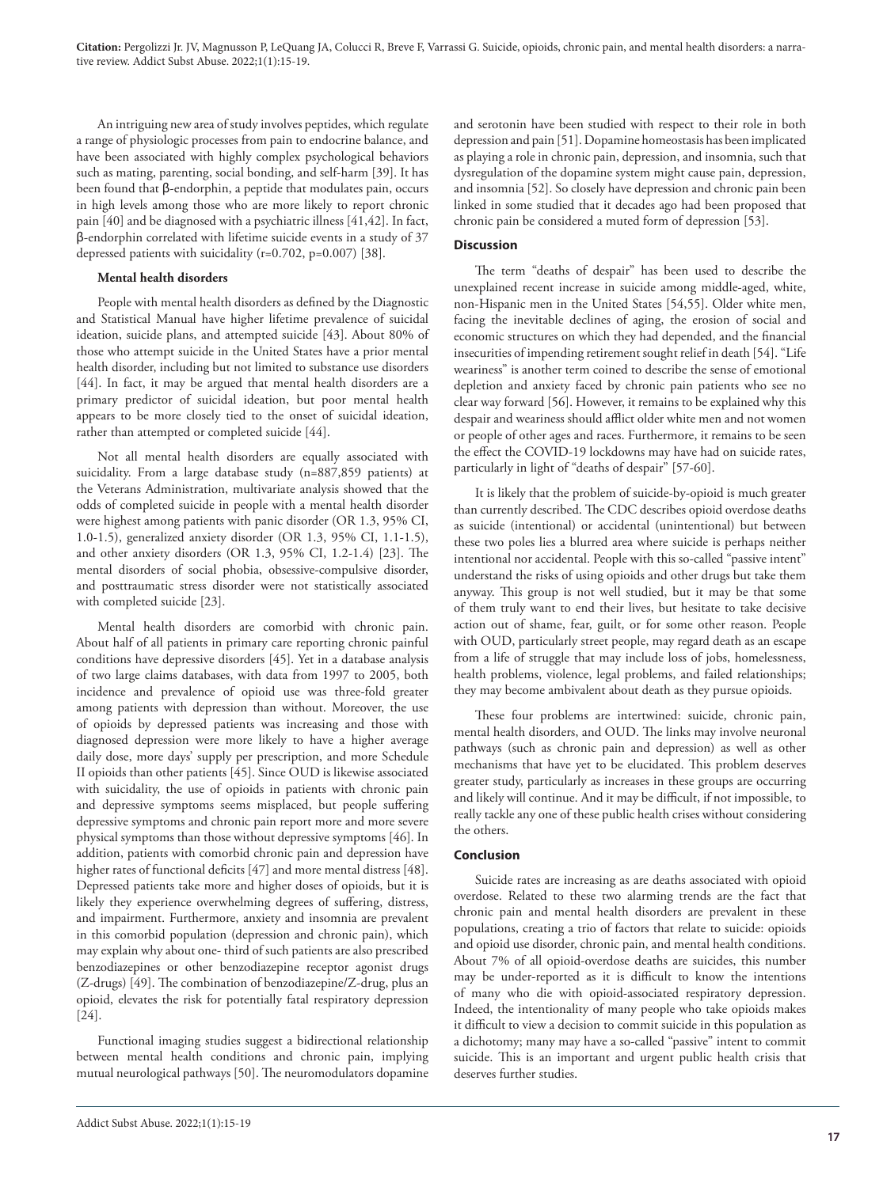**Citation:** Pergolizzi Jr. JV, Magnusson P, LeQuang JA, Colucci R, Breve F, Varrassi G. Suicide, opioids, chronic pain, and mental health disorders: a narrative review. Addict Subst Abuse. 2022;1(1):15-19.

An intriguing new area of study involves peptides, which regulate a range of physiologic processes from pain to endocrine balance, and have been associated with highly complex psychological behaviors such as mating, parenting, social bonding, and self-harm [39]. It has been found that β-endorphin, a peptide that modulates pain, occurs in high levels among those who are more likely to report chronic pain [40] and be diagnosed with a psychiatric illness [41,42]. In fact, β-endorphin correlated with lifetime suicide events in a study of 37 depressed patients with suicidality (r=0.702, p=0.007) [38].

# **Mental health disorders**

People with mental health disorders as defined by the Diagnostic and Statistical Manual have higher lifetime prevalence of suicidal ideation, suicide plans, and attempted suicide [43]. About 80% of those who attempt suicide in the United States have a prior mental health disorder, including but not limited to substance use disorders [44]. In fact, it may be argued that mental health disorders are a primary predictor of suicidal ideation, but poor mental health appears to be more closely tied to the onset of suicidal ideation, rather than attempted or completed suicide [44].

Not all mental health disorders are equally associated with suicidality. From a large database study (n=887,859 patients) at the Veterans Administration, multivariate analysis showed that the odds of completed suicide in people with a mental health disorder were highest among patients with panic disorder (OR 1.3, 95% CI, 1.0-1.5), generalized anxiety disorder (OR 1.3, 95% CI, 1.1-1.5), and other anxiety disorders (OR 1.3, 95% CI, 1.2-1.4) [23]. The mental disorders of social phobia, obsessive-compulsive disorder, and posttraumatic stress disorder were not statistically associated with completed suicide [23].

Mental health disorders are comorbid with chronic pain. About half of all patients in primary care reporting chronic painful conditions have depressive disorders [45]. Yet in a database analysis of two large claims databases, with data from 1997 to 2005, both incidence and prevalence of opioid use was three-fold greater among patients with depression than without. Moreover, the use of opioids by depressed patients was increasing and those with diagnosed depression were more likely to have a higher average daily dose, more days' supply per prescription, and more Schedule II opioids than other patients [45]. Since OUD is likewise associated with suicidality, the use of opioids in patients with chronic pain and depressive symptoms seems misplaced, but people suffering depressive symptoms and chronic pain report more and more severe physical symptoms than those without depressive symptoms [46]. In addition, patients with comorbid chronic pain and depression have higher rates of functional deficits [47] and more mental distress [48]. Depressed patients take more and higher doses of opioids, but it is likely they experience overwhelming degrees of suffering, distress, and impairment. Furthermore, anxiety and insomnia are prevalent in this comorbid population (depression and chronic pain), which may explain why about one- third of such patients are also prescribed benzodiazepines or other benzodiazepine receptor agonist drugs (Z-drugs) [49]. The combination of benzodiazepine/Z-drug, plus an opioid, elevates the risk for potentially fatal respiratory depression [24].

Functional imaging studies suggest a bidirectional relationship between mental health conditions and chronic pain, implying mutual neurological pathways [50]. The neuromodulators dopamine and serotonin have been studied with respect to their role in both depression and pain [51]. Dopamine homeostasis has been implicated as playing a role in chronic pain, depression, and insomnia, such that dysregulation of the dopamine system might cause pain, depression, and insomnia [52]. So closely have depression and chronic pain been linked in some studied that it decades ago had been proposed that chronic pain be considered a muted form of depression [53].

### **Discussion**

The term "deaths of despair" has been used to describe the unexplained recent increase in suicide among middle-aged, white, non-Hispanic men in the United States [54,55]. Older white men, facing the inevitable declines of aging, the erosion of social and economic structures on which they had depended, and the financial insecurities of impending retirement sought relief in death [54]. "Life weariness" is another term coined to describe the sense of emotional depletion and anxiety faced by chronic pain patients who see no clear way forward [56]. However, it remains to be explained why this despair and weariness should afflict older white men and not women or people of other ages and races. Furthermore, it remains to be seen the effect the COVID-19 lockdowns may have had on suicide rates, particularly in light of "deaths of despair" [57-60].

It is likely that the problem of suicide-by-opioid is much greater than currently described. The CDC describes opioid overdose deaths as suicide (intentional) or accidental (unintentional) but between these two poles lies a blurred area where suicide is perhaps neither intentional nor accidental. People with this so-called "passive intent" understand the risks of using opioids and other drugs but take them anyway. This group is not well studied, but it may be that some of them truly want to end their lives, but hesitate to take decisive action out of shame, fear, guilt, or for some other reason. People with OUD, particularly street people, may regard death as an escape from a life of struggle that may include loss of jobs, homelessness, health problems, violence, legal problems, and failed relationships; they may become ambivalent about death as they pursue opioids.

These four problems are intertwined: suicide, chronic pain, mental health disorders, and OUD. The links may involve neuronal pathways (such as chronic pain and depression) as well as other mechanisms that have yet to be elucidated. This problem deserves greater study, particularly as increases in these groups are occurring and likely will continue. And it may be difficult, if not impossible, to really tackle any one of these public health crises without considering the others.

#### **Conclusion**

Suicide rates are increasing as are deaths associated with opioid overdose. Related to these two alarming trends are the fact that chronic pain and mental health disorders are prevalent in these populations, creating a trio of factors that relate to suicide: opioids and opioid use disorder, chronic pain, and mental health conditions. About 7% of all opioid-overdose deaths are suicides, this number may be under-reported as it is difficult to know the intentions of many who die with opioid-associated respiratory depression. Indeed, the intentionality of many people who take opioids makes it difficult to view a decision to commit suicide in this population as a dichotomy; many may have a so-called "passive" intent to commit suicide. This is an important and urgent public health crisis that deserves further studies.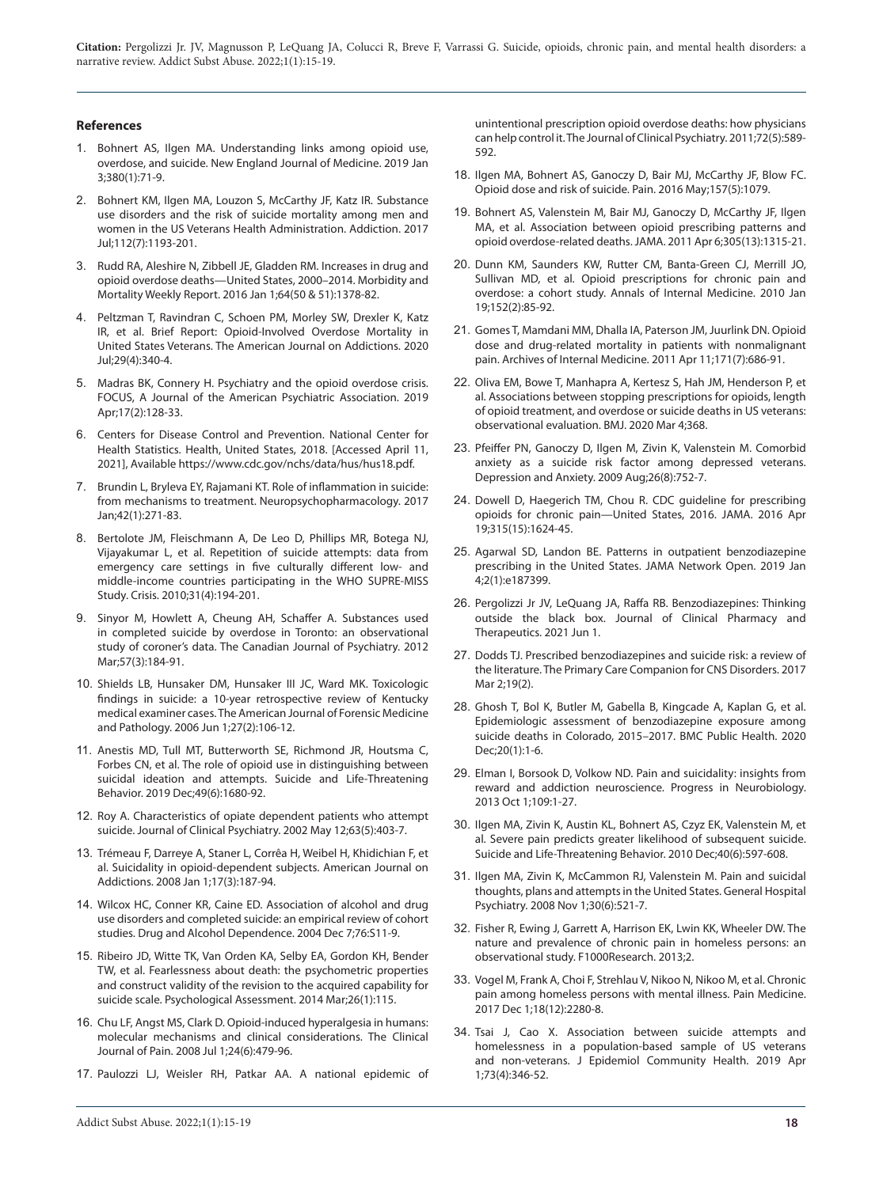#### **References**

- 1. Bohnert AS, Ilgen MA. Understanding links among opioid use, overdose, and suicide. New England Journal of Medicine. 2019 Jan 3;380(1):71-9.
- 2. Bohnert KM, Ilgen MA, Louzon S, McCarthy JF, Katz IR. Substance use disorders and the risk of suicide mortality among men and women in the US Veterans Health Administration. Addiction. 2017 Jul;112(7):1193-201.
- 3. Rudd RA, Aleshire N, Zibbell JE, Gladden RM. Increases in drug and opioid overdose deaths—United States, 2000–2014. Morbidity and Mortality Weekly Report. 2016 Jan 1;64(50 & 51):1378-82.
- 4. Peltzman T, Ravindran C, Schoen PM, Morley SW, Drexler K, Katz IR, et al. Brief Report: Opioid‐Involved Overdose Mortality in United States Veterans. The American Journal on Addictions. 2020 Jul;29(4):340-4.
- 5. Madras BK, Connery H. Psychiatry and the opioid overdose crisis. FOCUS, A Journal of the American Psychiatric Association. 2019 Apr;17(2):128-33.
- 6. Centers for Disease Control and Prevention. National Center for Health Statistics. Health, United States, 2018. [Accessed April 11, 2021], Available https://www.cdc.gov/nchs/data/hus/hus18.pdf.
- 7. Brundin L, Bryleva EY, Rajamani KT. Role of inflammation in suicide: from mechanisms to treatment. Neuropsychopharmacology. 2017 Jan;42(1):271-83.
- 8. Bertolote JM, Fleischmann A, De Leo D, Phillips MR, Botega NJ, Vijayakumar L, et al. Repetition of suicide attempts: data from emergency care settings in five culturally different low- and middle-income countries participating in the WHO SUPRE-MISS Study. Crisis. 2010;31(4):194-201.
- 9. Sinyor M, Howlett A, Cheung AH, Schaffer A. Substances used in completed suicide by overdose in Toronto: an observational study of coroner's data. The Canadian Journal of Psychiatry. 2012 Mar;57(3):184-91.
- 10. Shields LB, Hunsaker DM, Hunsaker III JC, Ward MK. Toxicologic findings in suicide: a 10-year retrospective review of Kentucky medical examiner cases. The American Journal of Forensic Medicine and Pathology. 2006 Jun 1;27(2):106-12.
- 11. Anestis MD, Tull MT, Butterworth SE, Richmond JR, Houtsma C, Forbes CN, et al. The role of opioid use in distinguishing between suicidal ideation and attempts. Suicide and Life‐Threatening Behavior. 2019 Dec;49(6):1680-92.
- 12. Roy A. Characteristics of opiate dependent patients who attempt suicide. Journal of Clinical Psychiatry. 2002 May 12;63(5):403-7.
- 13. Trémeau F, Darreye A, Staner L, Corrêa H, Weibel H, Khidichian F, et al. Suicidality in opioid-dependent subjects. American Journal on Addictions. 2008 Jan 1;17(3):187-94.
- 14. Wilcox HC, Conner KR, Caine ED. Association of alcohol and drug use disorders and completed suicide: an empirical review of cohort studies. Drug and Alcohol Dependence. 2004 Dec 7;76:S11-9.
- 15. Ribeiro JD, Witte TK, Van Orden KA, Selby EA, Gordon KH, Bender TW, et al. Fearlessness about death: the psychometric properties and construct validity of the revision to the acquired capability for suicide scale. Psychological Assessment. 2014 Mar;26(1):115.
- 16. Chu LF, Angst MS, Clark D. Opioid-induced hyperalgesia in humans: molecular mechanisms and clinical considerations. The Clinical Journal of Pain. 2008 Jul 1;24(6):479-96.
- 17. Paulozzi LJ, Weisler RH, Patkar AA. A national epidemic of

unintentional prescription opioid overdose deaths: how physicians can help control it. The Journal of Clinical Psychiatry. 2011;72(5):589- 592.

- 18. Ilgen MA, Bohnert AS, Ganoczy D, Bair MJ, McCarthy JF, Blow FC. Opioid dose and risk of suicide. Pain. 2016 May;157(5):1079.
- 19. Bohnert AS, Valenstein M, Bair MJ, Ganoczy D, McCarthy JF, Ilgen MA, et al. Association between opioid prescribing patterns and opioid overdose-related deaths. JAMA. 2011 Apr 6;305(13):1315-21.
- 20. Dunn KM, Saunders KW, Rutter CM, Banta-Green CJ, Merrill JO, Sullivan MD, et al. Opioid prescriptions for chronic pain and overdose: a cohort study. Annals of Internal Medicine. 2010 Jan 19;152(2):85-92.
- 21. Gomes T, Mamdani MM, Dhalla IA, Paterson JM, Juurlink DN. Opioid dose and drug-related mortality in patients with nonmalignant pain. Archives of Internal Medicine. 2011 Apr 11;171(7):686-91.
- 22. Oliva EM, Bowe T, Manhapra A, Kertesz S, Hah JM, Henderson P, et al. Associations between stopping prescriptions for opioids, length of opioid treatment, and overdose or suicide deaths in US veterans: observational evaluation. BMJ. 2020 Mar 4;368.
- 23. Pfeiffer PN, Ganoczy D, Ilgen M, Zivin K, Valenstein M. Comorbid anxiety as a suicide risk factor among depressed veterans. Depression and Anxiety. 2009 Aug;26(8):752-7.
- 24. Dowell D, Haegerich TM, Chou R. CDC guideline for prescribing opioids for chronic pain—United States, 2016. JAMA. 2016 Apr 19;315(15):1624-45.
- 25. Agarwal SD, Landon BE. Patterns in outpatient benzodiazepine prescribing in the United States. JAMA Network Open. 2019 Jan 4;2(1):e187399.
- 26. Pergolizzi Jr JV, LeQuang JA, Raffa RB. Benzodiazepines: Thinking outside the black box. Journal of Clinical Pharmacy and Therapeutics. 2021 Jun 1.
- 27. Dodds TJ. Prescribed benzodiazepines and suicide risk: a review of the literature. The Primary Care Companion for CNS Disorders. 2017 Mar 2;19(2).
- 28. Ghosh T, Bol K, Butler M, Gabella B, Kingcade A, Kaplan G, et al. Epidemiologic assessment of benzodiazepine exposure among suicide deaths in Colorado, 2015–2017. BMC Public Health. 2020 Dec;20(1):1-6.
- 29. Elman I, Borsook D, Volkow ND. Pain and suicidality: insights from reward and addiction neuroscience. Progress in Neurobiology. 2013 Oct 1;109:1-27.
- 30. Ilgen MA, Zivin K, Austin KL, Bohnert AS, Czyz EK, Valenstein M, et al. Severe pain predicts greater likelihood of subsequent suicide. Suicide and Life-Threatening Behavior. 2010 Dec;40(6):597-608.
- 31. Ilgen MA, Zivin K, McCammon RJ, Valenstein M. Pain and suicidal thoughts, plans and attempts in the United States. General Hospital Psychiatry. 2008 Nov 1;30(6):521-7.
- 32. Fisher R, Ewing J, Garrett A, Harrison EK, Lwin KK, Wheeler DW. The nature and prevalence of chronic pain in homeless persons: an observational study. F1000Research. 2013;2.
- 33. Vogel M, Frank A, Choi F, Strehlau V, Nikoo N, Nikoo M, et al. Chronic pain among homeless persons with mental illness. Pain Medicine. 2017 Dec 1;18(12):2280-8.
- 34. Tsai J, Cao X. Association between suicide attempts and homelessness in a population-based sample of US veterans and non-veterans. J Epidemiol Community Health. 2019 Apr 1;73(4):346-52.